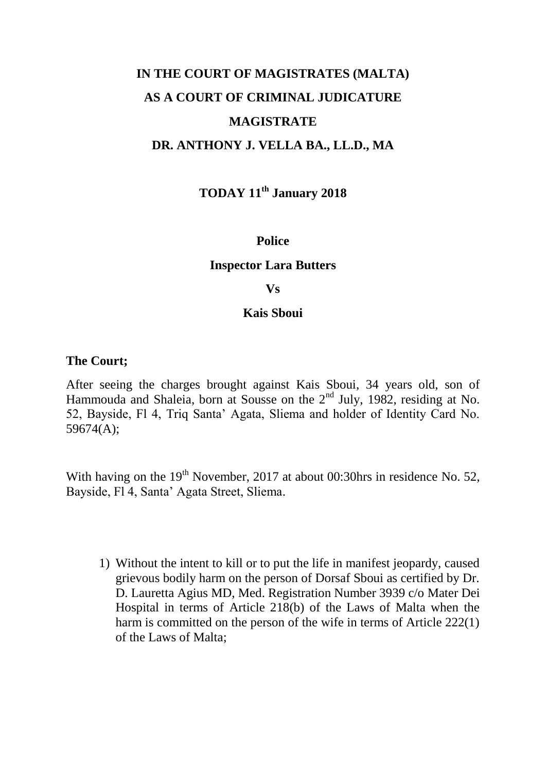# **IN THE COURT OF MAGISTRATES (MALTA) AS A COURT OF CRIMINAL JUDICATURE MAGISTRATE DR. ANTHONY J. VELLA BA., LL.D., MA**

**TODAY 11th January 2018**

#### **Police**

#### **Inspector Lara Butters**

#### **Vs**

#### **Kais Sboui**

#### **The Court;**

After seeing the charges brought against Kais Sboui, 34 years old, son of Hammouda and Shaleia, born at Sousse on the 2<sup>nd</sup> July, 1982, residing at No. 52, Bayside, Fl 4, Triq Santa' Agata, Sliema and holder of Identity Card No. 59674(A);

With having on the  $19<sup>th</sup>$  November, 2017 at about 00:30hrs in residence No. 52, Bayside, Fl 4, Santa' Agata Street, Sliema.

1) Without the intent to kill or to put the life in manifest jeopardy, caused grievous bodily harm on the person of Dorsaf Sboui as certified by Dr. D. Lauretta Agius MD, Med. Registration Number 3939 c/o Mater Dei Hospital in terms of Article 218(b) of the Laws of Malta when the harm is committed on the person of the wife in terms of Article 222(1) of the Laws of Malta;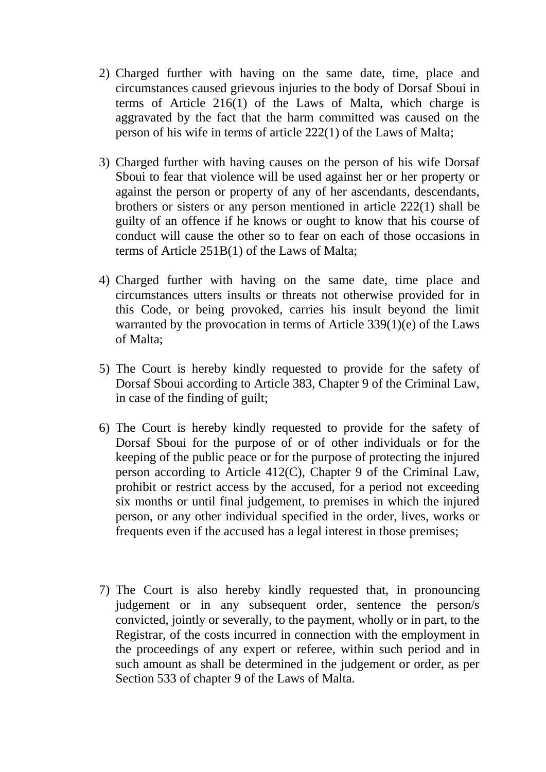- 2) Charged further with having on the same date, time, place and circumstances caused grievous injuries to the body of Dorsaf Sboui in terms of Article 216(1) of the Laws of Malta, which charge is aggravated by the fact that the harm committed was caused on the person of his wife in terms of article 222(1) of the Laws of Malta;
- 3) Charged further with having causes on the person of his wife Dorsaf Sboui to fear that violence will be used against her or her property or against the person or property of any of her ascendants, descendants, brothers or sisters or any person mentioned in article 222(1) shall be guilty of an offence if he knows or ought to know that his course of conduct will cause the other so to fear on each of those occasions in terms of Article 251B(1) of the Laws of Malta;
- 4) Charged further with having on the same date, time place and circumstances utters insults or threats not otherwise provided for in this Code, or being provoked, carries his insult beyond the limit warranted by the provocation in terms of Article 339(1)(e) of the Laws of Malta;
- 5) The Court is hereby kindly requested to provide for the safety of Dorsaf Sboui according to Article 383, Chapter 9 of the Criminal Law, in case of the finding of guilt;
- 6) The Court is hereby kindly requested to provide for the safety of Dorsaf Sboui for the purpose of or of other individuals or for the keeping of the public peace or for the purpose of protecting the injured person according to Article 412(C), Chapter 9 of the Criminal Law, prohibit or restrict access by the accused, for a period not exceeding six months or until final judgement, to premises in which the injured person, or any other individual specified in the order, lives, works or frequents even if the accused has a legal interest in those premises;
- 7) The Court is also hereby kindly requested that, in pronouncing judgement or in any subsequent order, sentence the person/s convicted, jointly or severally, to the payment, wholly or in part, to the Registrar, of the costs incurred in connection with the employment in the proceedings of any expert or referee, within such period and in such amount as shall be determined in the judgement or order, as per Section 533 of chapter 9 of the Laws of Malta.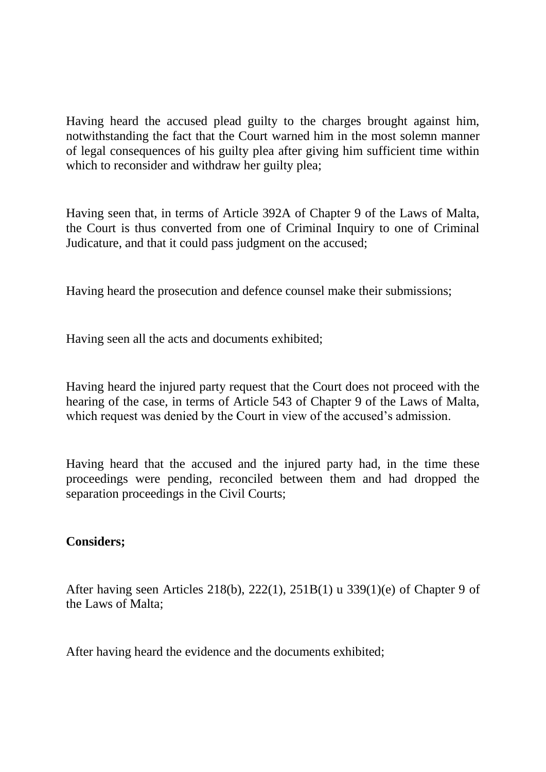Having heard the accused plead guilty to the charges brought against him, notwithstanding the fact that the Court warned him in the most solemn manner of legal consequences of his guilty plea after giving him sufficient time within which to reconsider and withdraw her guilty plea;

Having seen that, in terms of Article 392A of Chapter 9 of the Laws of Malta, the Court is thus converted from one of Criminal Inquiry to one of Criminal Judicature, and that it could pass judgment on the accused;

Having heard the prosecution and defence counsel make their submissions;

Having seen all the acts and documents exhibited;

Having heard the injured party request that the Court does not proceed with the hearing of the case, in terms of Article 543 of Chapter 9 of the Laws of Malta, which request was denied by the Court in view of the accused's admission.

Having heard that the accused and the injured party had, in the time these proceedings were pending, reconciled between them and had dropped the separation proceedings in the Civil Courts;

### **Considers;**

After having seen Articles 218(b), 222(1), 251B(1) u 339(1)(e) of Chapter 9 of the Laws of Malta;

After having heard the evidence and the documents exhibited;